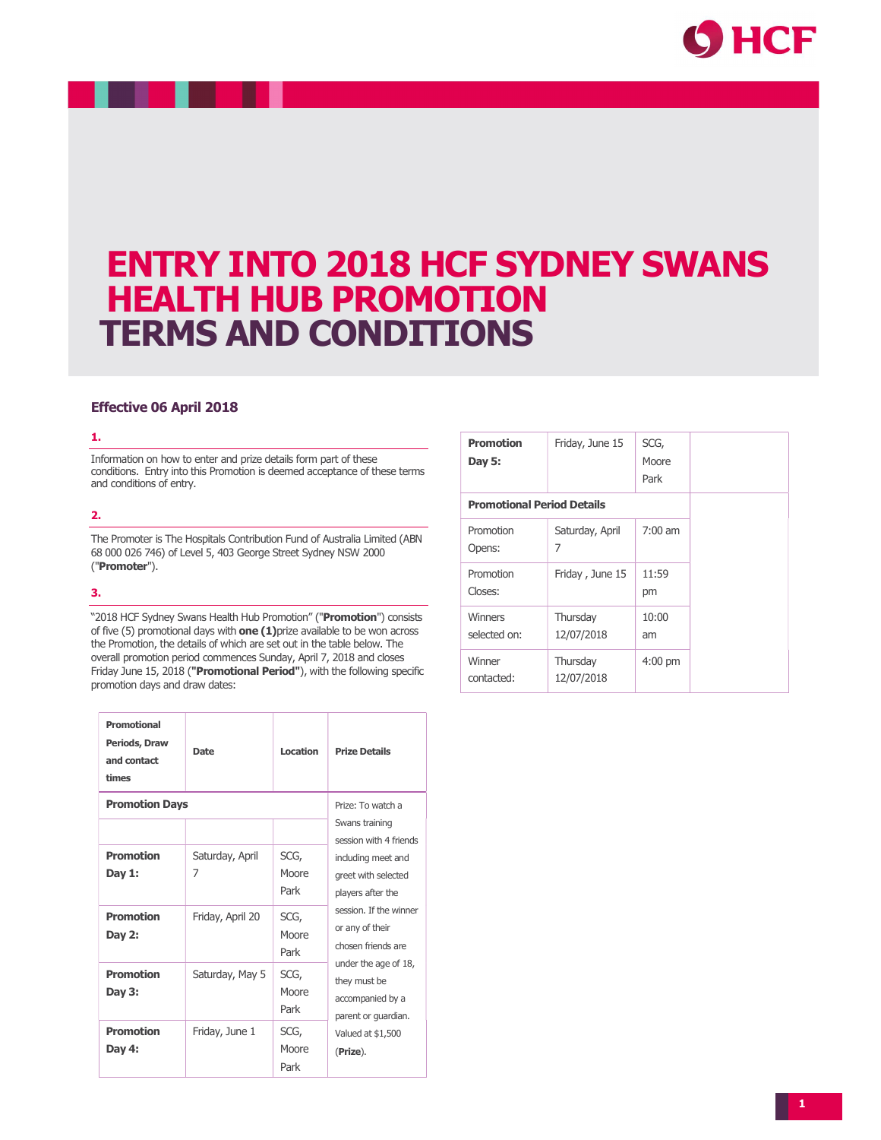

# ENTRY INTO 2018 HCF SYDNEY SWANS HEALTH HUB PROMOTION TERMS AND CONDITIONS

# Effective 06 April 2018

#### 1.

Information on how to enter and prize details form part of these conditions. Entry into this Promotion is deemed acceptance of these terms and conditions of entry.

## 2.

The Promoter is The Hospitals Contribution Fund of Australia Limited (ABN 68 000 026 746) of Level 5, 403 George Street Sydney NSW 2000 ("Promoter").

## 3.

"2018 HCF Sydney Swans Health Hub Promotion" ("Promotion") consists of five  $(5)$  promotional days with one  $(1)$ prize available to be won across the Promotion, the details of which are set out in the table below. The overall promotion period commences Sunday, April 7, 2018 and closes Friday June 15, 2018 ("Promotional Period"), with the following specific promotion days and draw dates:

| Promotional<br>Periods, Draw<br>and contact<br>times | <b>Date</b>          | Location              | <b>Prize Details</b>                                                                                                                                                                                                                                                                              |
|------------------------------------------------------|----------------------|-----------------------|---------------------------------------------------------------------------------------------------------------------------------------------------------------------------------------------------------------------------------------------------------------------------------------------------|
| <b>Promotion Days</b>                                | Prize: To watch a    |                       |                                                                                                                                                                                                                                                                                                   |
|                                                      |                      |                       | Swans training<br>session with 4 friends<br>including meet and<br>areet with selected<br>players after the<br>session. If the winner<br>or any of their<br>chosen friends are<br>under the age of 18,<br>they must be<br>accompanied by a<br>parent or quardian.<br>Valued at \$1,500<br>(Prize). |
| Promotion<br>Day 1:                                  | Saturday, April<br>7 | SCG,<br>Moore<br>Park |                                                                                                                                                                                                                                                                                                   |
| <b>Promotion</b><br>Day 2:                           | Friday, April 20     | SCG,<br>Moore<br>Park |                                                                                                                                                                                                                                                                                                   |
| Promotion<br>Day 3:                                  | Saturday, May 5      | SCG,<br>Moore<br>Park |                                                                                                                                                                                                                                                                                                   |
| <b>Promotion</b><br>Day 4:                           | Friday, June 1       | SCG,<br>Moore<br>Park |                                                                                                                                                                                                                                                                                                   |

| <b>Promotion</b><br>Day 5:        | Friday, June 15        | SCG,<br>Moore<br>Park |  |
|-----------------------------------|------------------------|-----------------------|--|
| <b>Promotional Period Details</b> |                        |                       |  |
| Promotion<br>Opens:               | Saturday, April<br>7   | $7:00$ am             |  |
| Promotion<br>Closes:              | Friday, June 15        | 11:59<br>pm           |  |
| Winners<br>selected on:           | Thursday<br>12/07/2018 | 10:00<br>am           |  |
| Winner<br>contacted:              | Thursday<br>12/07/2018 | $4:00$ pm             |  |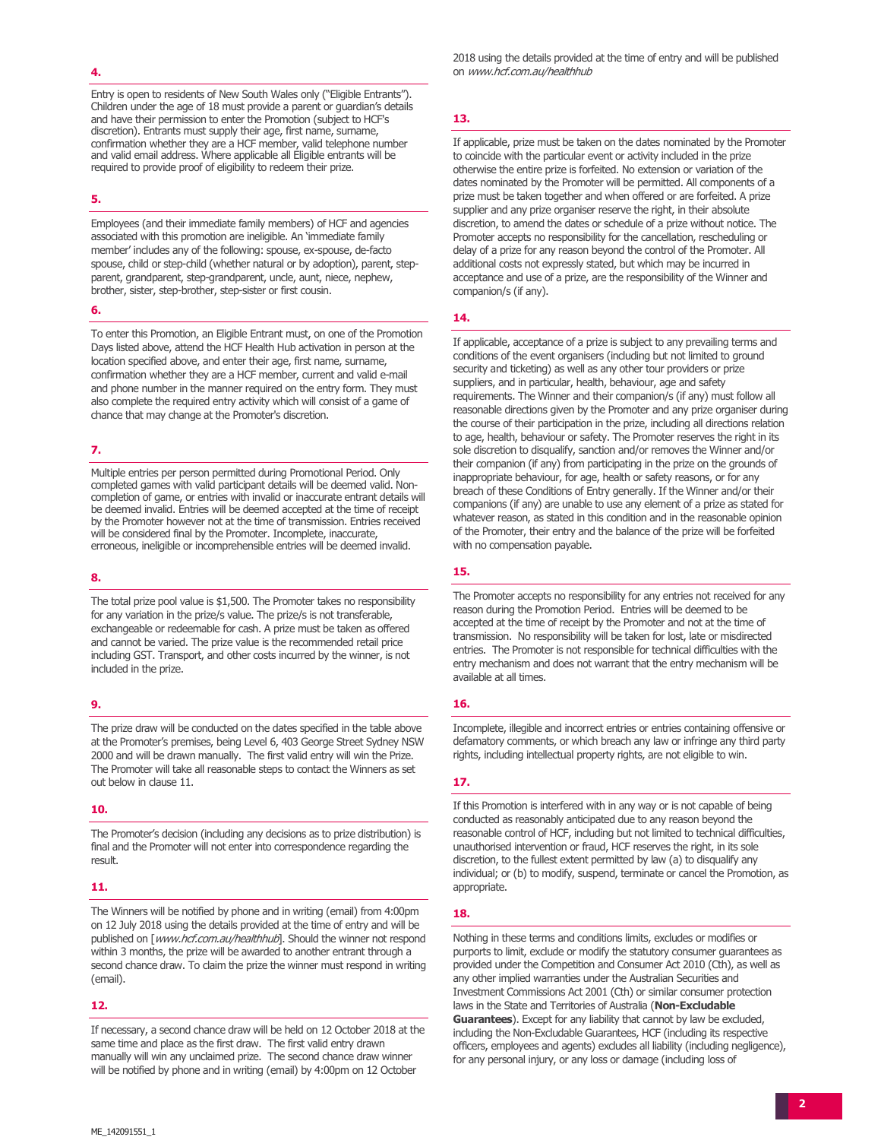#### 4.

Entry is open to residents of New South Wales only ("Eligible Entrants"). Children under the age of 18 must provide a parent or guardian's details and have their permission to enter the Promotion (subject to HCF's discretion). Entrants must supply their age, first name, surname, confirmation whether they are a HCF member, valid telephone number and valid email address. Where applicable all Eligible entrants will be required to provide proof of eligibility to redeem their prize.

#### 5.

Employees (and their immediate family members) of HCF and agencies associated with this promotion are ineligible. An 'immediate family member' includes any of the following: spouse, ex-spouse, de-facto spouse, child or step-child (whether natural or by adoption), parent, stepparent, grandparent, step-grandparent, uncle, aunt, niece, nephew, brother, sister, step-brother, step-sister or first cousin.

#### 6.

To enter this Promotion, an Eligible Entrant must, on one of the Promotion Days listed above, attend the HCF Health Hub activation in person at the location specified above, and enter their age, first name, surname, confirmation whether they are a HCF member, current and valid e-mail and phone number in the manner required on the entry form. They must also complete the required entry activity which will consist of a game of chance that may change at the Promoter's discretion.

#### 7.

Multiple entries per person permitted during Promotional Period. Only completed games with valid participant details will be deemed valid. Noncompletion of game, or entries with invalid or inaccurate entrant details will be deemed invalid. Entries will be deemed accepted at the time of receipt by the Promoter however not at the time of transmission. Entries received will be considered final by the Promoter. Incomplete, inaccurate, erroneous, ineligible or incomprehensible entries will be deemed invalid.

#### 8.

The total prize pool value is \$1,500. The Promoter takes no responsibility for any variation in the prize/s value. The prize/s is not transferable, exchangeable or redeemable for cash. A prize must be taken as offered and cannot be varied. The prize value is the recommended retail price including GST. Transport, and other costs incurred by the winner, is not included in the prize.

## 9.

The prize draw will be conducted on the dates specified in the table above at the Promoter's premises, being Level 6, 403 George Street Sydney NSW 2000 and will be drawn manually. The first valid entry will win the Prize. The Promoter will take all reasonable steps to contact the Winners as set out below in clause 11.

#### 10.

The Promoter's decision (including any decisions as to prize distribution) is final and the Promoter will not enter into correspondence regarding the result.

#### 11.

The Winners will be notified by phone and in writing (email) from 4:00pm on 12 July 2018 using the details provided at the time of entry and will be published on [www.hcf.com.au/healthhub]. Should the winner not respond within 3 months, the prize will be awarded to another entrant through a second chance draw. To claim the prize the winner must respond in writing (email).

#### 12.

If necessary, a second chance draw will be held on 12 October 2018 at the same time and place as the first draw. The first valid entry drawn manually will win any unclaimed prize. The second chance draw winner will be notified by phone and in writing (email) by 4:00pm on 12 October

2018 using the details provided at the time of entry and will be published on www.hcf.com.au/healthhub

## 13.

If applicable, prize must be taken on the dates nominated by the Promoter to coincide with the particular event or activity included in the prize otherwise the entire prize is forfeited. No extension or variation of the dates nominated by the Promoter will be permitted. All components of a prize must be taken together and when offered or are forfeited. A prize supplier and any prize organiser reserve the right, in their absolute discretion, to amend the dates or schedule of a prize without notice. The Promoter accepts no responsibility for the cancellation, rescheduling or delay of a prize for any reason beyond the control of the Promoter. All additional costs not expressly stated, but which may be incurred in acceptance and use of a prize, are the responsibility of the Winner and companion/s (if any).

#### 14.

If applicable, acceptance of a prize is subject to any prevailing terms and conditions of the event organisers (including but not limited to ground security and ticketing) as well as any other tour providers or prize suppliers, and in particular, health, behaviour, age and safety requirements. The Winner and their companion/s (if any) must follow all reasonable directions given by the Promoter and any prize organiser during the course of their participation in the prize, including all directions relation to age, health, behaviour or safety. The Promoter reserves the right in its sole discretion to disqualify, sanction and/or removes the Winner and/or their companion (if any) from participating in the prize on the grounds of inappropriate behaviour, for age, health or safety reasons, or for any breach of these Conditions of Entry generally. If the Winner and/or their companions (if any) are unable to use any element of a prize as stated for whatever reason, as stated in this condition and in the reasonable opinion of the Promoter, their entry and the balance of the prize will be forfeited with no compensation payable.

## 15.

The Promoter accepts no responsibility for any entries not received for any reason during the Promotion Period. Entries will be deemed to be accepted at the time of receipt by the Promoter and not at the time of transmission. No responsibility will be taken for lost, late or misdirected entries. The Promoter is not responsible for technical difficulties with the entry mechanism and does not warrant that the entry mechanism will be available at all times.

## 16.

Incomplete, illegible and incorrect entries or entries containing offensive or defamatory comments, or which breach any law or infringe any third party rights, including intellectual property rights, are not eligible to win.

## 17.

If this Promotion is interfered with in any way or is not capable of being conducted as reasonably anticipated due to any reason beyond the reasonable control of HCF, including but not limited to technical difficulties, unauthorised intervention or fraud, HCF reserves the right, in its sole discretion, to the fullest extent permitted by law (a) to disqualify any individual; or (b) to modify, suspend, terminate or cancel the Promotion, as appropriate.

## 18.

Nothing in these terms and conditions limits, excludes or modifies or purports to limit, exclude or modify the statutory consumer guarantees as provided under the Competition and Consumer Act 2010 (Cth), as well as any other implied warranties under the Australian Securities and Investment Commissions Act 2001 (Cth) or similar consumer protection laws in the State and Territories of Australia (Non-Excludable Guarantees). Except for any liability that cannot by law be excluded, including the Non-Excludable Guarantees, HCF (including its respective officers, employees and agents) excludes all liability (including negligence), for any personal injury, or any loss or damage (including loss of